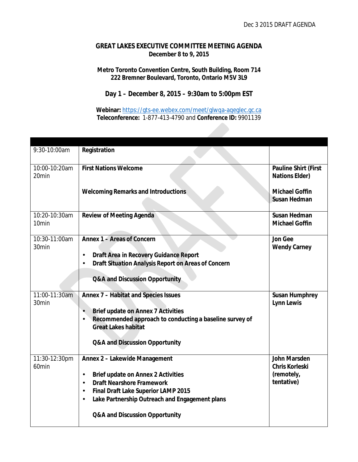## **GREAT LAKES EXECUTIVE COMMITTEE MEETING AGENDA December 8 to 9, 2015**

#### **Metro Toronto Convention Centre, South Building, Room 714 222 Bremner Boulevard, Toronto, Ontario M5V 3L9**

## **Day 1 – December 8, 2015 – 9:30am to 5:00pm EST**

**Webinar:** <https://gts-ee.webex.com/meet/glwqa-aqeglec.gc.ca> **Teleconference:** 1-877-413-4790 and **Conference ID:** 9901139

| 9:30-10:00am      | Registration                                            |                             |
|-------------------|---------------------------------------------------------|-----------------------------|
|                   |                                                         |                             |
| 10:00-10:20am     | <b>First Nations Welcome</b>                            | <b>Pauline Shirt (First</b> |
| 20min             |                                                         | <b>Nations Elder)</b>       |
|                   |                                                         |                             |
|                   | <b>Welcoming Remarks and Introductions</b>              | <b>Michael Goffin</b>       |
|                   |                                                         | <b>Susan Hedman</b>         |
| 10:20-10:30am     |                                                         | <b>Susan Hedman</b>         |
| 10 <sub>min</sub> | <b>Review of Meeting Agenda</b>                         | <b>Michael Goffin</b>       |
|                   |                                                         |                             |
| 10:30-11:00am     | Annex 1 - Areas of Concern                              | Jon Gee                     |
| 30min             |                                                         | <b>Wendy Carney</b>         |
|                   | Draft Area in Recovery Guidance Report                  |                             |
|                   | Draft Situation Analysis Report on Areas of Concern     |                             |
|                   |                                                         |                             |
|                   | <b>Q&amp;A and Discussion Opportunity</b>               |                             |
|                   |                                                         |                             |
| 11:00-11:30am     | Annex 7 - Habitat and Species Issues                    | <b>Susan Humphrey</b>       |
| 30min             |                                                         | <b>Lynn Lewis</b>           |
|                   | <b>Brief update on Annex 7 Activities</b>               |                             |
|                   | Recommended approach to conducting a baseline survey of |                             |
|                   | <b>Great Lakes habitat</b>                              |                             |
|                   |                                                         |                             |
|                   | <b>Q&amp;A and Discussion Opportunity</b>               |                             |
| 11:30-12:30pm     | Annex 2 - Lakewide Management                           | <b>John Marsden</b>         |
| 60min             |                                                         | <b>Chris Korleski</b>       |
|                   | <b>Brief update on Annex 2 Activities</b>               | (remotely,                  |
|                   | <b>Draft Nearshore Framework</b>                        | tentative)                  |
|                   | Final Draft Lake Superior LAMP 2015                     |                             |
|                   | Lake Partnership Outreach and Engagement plans          |                             |
|                   |                                                         |                             |
|                   | Q&A and Discussion Opportunity                          |                             |
|                   |                                                         |                             |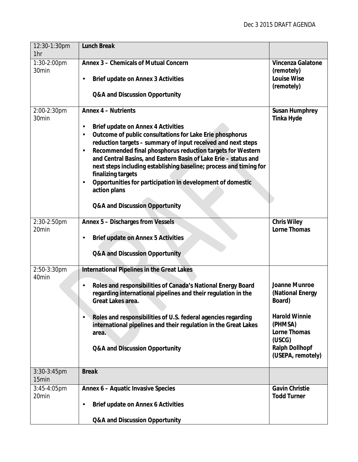| 12:30-1:30pm<br>1hr  | <b>Lunch Break</b>                                                                                                                                                                                                                                                                                                                                                                                                                                                                                                                                                                                                                  |                                                                                                                                                        |
|----------------------|-------------------------------------------------------------------------------------------------------------------------------------------------------------------------------------------------------------------------------------------------------------------------------------------------------------------------------------------------------------------------------------------------------------------------------------------------------------------------------------------------------------------------------------------------------------------------------------------------------------------------------------|--------------------------------------------------------------------------------------------------------------------------------------------------------|
| 1:30-2:00pm<br>30min | Annex 3 - Chemicals of Mutual Concern<br><b>Brief update on Annex 3 Activities</b><br>Q&A and Discussion Opportunity                                                                                                                                                                                                                                                                                                                                                                                                                                                                                                                | Vincenza Galatone<br>(remotely)<br><b>Louise Wise</b><br>(remotely)                                                                                    |
| 2:00-2:30pm<br>30min | <b>Annex 4 - Nutrients</b><br><b>Brief update on Annex 4 Activities</b><br>$\blacksquare$<br>Outcome of public consultations for Lake Erie phosphorus<br>$\blacksquare$<br>reduction targets - summary of input received and next steps<br>Recommended final phosphorus reduction targets for Western<br>$\blacksquare$<br>and Central Basins, and Eastern Basin of Lake Erie - status and<br>next steps including establishing baseline; process and timing for<br>finalizing targets<br>Opportunities for participation in development of domestic<br>$\blacksquare$<br>action plans<br><b>Q&amp;A and Discussion Opportunity</b> | <b>Susan Humphrey</b><br><b>Tinka Hyde</b>                                                                                                             |
| 2:30-2:50pm<br>20min | Annex 5 - Discharges from Vessels<br><b>Brief update on Annex 5 Activities</b><br>$\cdot$<br><b>Q&amp;A and Discussion Opportunity</b>                                                                                                                                                                                                                                                                                                                                                                                                                                                                                              | <b>Chris Wiley</b><br>Lorne Thomas                                                                                                                     |
| 2:50-3:30pm<br>40min | <b>International Pipelines in the Great Lakes</b><br>Roles and responsibilities of Canada's National Energy Board<br>regarding international pipelines and their regulation in the<br>Great Lakes area.<br>Roles and responsibilities of U.S. federal agencies regarding<br>international pipelines and their regulation in the Great Lakes<br>area.<br>Q&A and Discussion Opportunity                                                                                                                                                                                                                                              | Joanne Munroe<br>(National Energy<br>Board)<br><b>Harold Winnie</b><br>(PHMSA)<br>Lorne Thomas<br>(USCG)<br><b>Ralph Dollhopf</b><br>(USEPA, remotely) |
| 3:30-3:45pm<br>15min | <b>Break</b>                                                                                                                                                                                                                                                                                                                                                                                                                                                                                                                                                                                                                        |                                                                                                                                                        |
| 3:45-4:05pm<br>20min | Annex 6 - Aquatic Invasive Species<br><b>Brief update on Annex 6 Activities</b><br>$\cdot$<br><b>Q&amp;A and Discussion Opportunity</b>                                                                                                                                                                                                                                                                                                                                                                                                                                                                                             | <b>Gavin Christie</b><br><b>Todd Turner</b>                                                                                                            |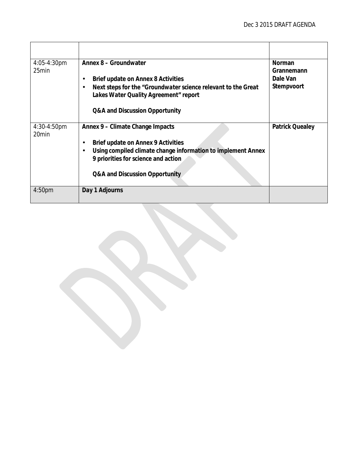| 4:05-4:30pm                      | Annex 8 - Groundwater                                                            | <b>Norman</b>          |
|----------------------------------|----------------------------------------------------------------------------------|------------------------|
| 25min                            |                                                                                  | Grannemann             |
|                                  | Brief update on Annex 8 Activities<br>$\blacksquare$                             | Dale Van               |
|                                  | Next steps for the "Groundwater science relevant to the Great"<br>$\blacksquare$ | Stempvoort             |
|                                  | Lakes Water Quality Agreement" report                                            |                        |
|                                  | Q&A and Discussion Opportunity                                                   |                        |
| 4:30-4:50pm<br>20 <sub>min</sub> | Annex 9 – Climate Change Impacts                                                 | <b>Patrick Quealey</b> |
|                                  | Brief update on Annex 9 Activities<br>$\blacksquare$                             |                        |
|                                  | Using compiled climate change information to implement Annex<br>$\blacksquare$   |                        |
|                                  | 9 priorities for science and action                                              |                        |
|                                  | Q&A and Discussion Opportunity                                                   |                        |
|                                  |                                                                                  |                        |
| 4:50 <sub>pm</sub>               | Day 1 Adjourns                                                                   |                        |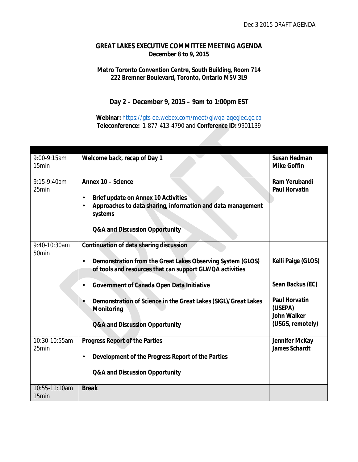## **GREAT LAKES EXECUTIVE COMMITTEE MEETING AGENDA December 8 to 9, 2015**

#### **Metro Toronto Convention Centre, South Building, Room 714 222 Bremner Boulevard, Toronto, Ontario M5V 3L9**

# **Day 2 – December 9, 2015 – 9am to 1:00pm EST**

**Webinar:** <https://gts-ee.webex.com/meet/glwqa-aqeglec.gc.ca> **Teleconference:** 1-877-413-4790 and **Conference ID:** 9901139

| 9:00-9:15am<br>15min   | Welcome back, recap of Day 1                                                                                                                                                                                                                                                                                                                | Susan Hedman<br><b>Mike Goffin</b>                                                                           |
|------------------------|---------------------------------------------------------------------------------------------------------------------------------------------------------------------------------------------------------------------------------------------------------------------------------------------------------------------------------------------|--------------------------------------------------------------------------------------------------------------|
| 9:15-9:40am<br>25min   | Annex 10 - Science<br><b>Brief update on Annex 10 Activities</b><br>$\blacksquare$<br>Approaches to data sharing, information and data management<br>systems<br>Q&A and Discussion Opportunity                                                                                                                                              | Ram Yerubandi<br><b>Paul Horvatin</b>                                                                        |
| 9:40-10:30am<br>50min  | Continuation of data sharing discussion<br>Demonstration from the Great Lakes Observing System (GLOS)<br>of tools and resources that can support GLWQA activities<br>Government of Canada Open Data Initiative<br>Demonstration of Science in the Great Lakes (SIGL)/Great Lakes<br>Monitoring<br><b>Q&amp;A and Discussion Opportunity</b> | Kelli Paige (GLOS)<br>Sean Backus (EC)<br><b>Paul Horvatin</b><br>(USEPA)<br>John Walker<br>(USGS, remotely) |
| 10:30-10:55am<br>25min | Progress Report of the Parties<br>Development of the Progress Report of the Parties<br>Q&A and Discussion Opportunity                                                                                                                                                                                                                       | Jennifer McKay<br><b>James Schardt</b>                                                                       |
| 10:55-11:10am<br>15min | <b>Break</b>                                                                                                                                                                                                                                                                                                                                |                                                                                                              |